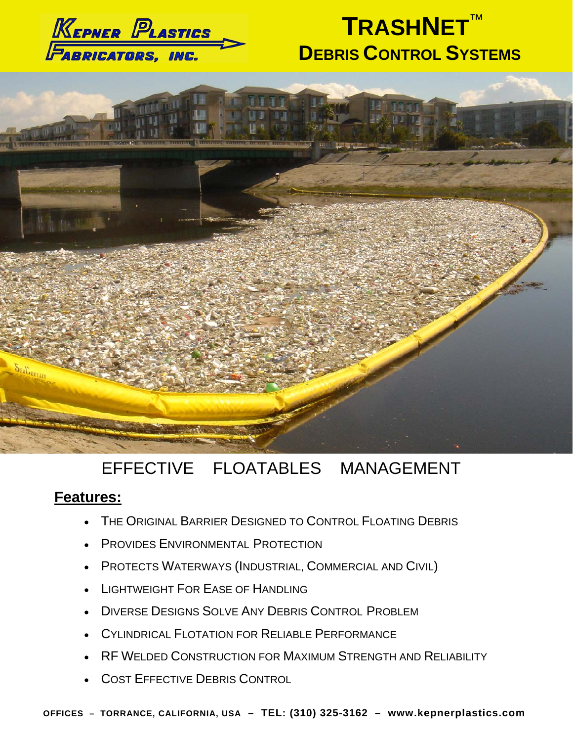

# **TRASHNET**™ **DEBRIS CONTROL SYSTEMS**



## EFFECTIVE FLOATABLES MANAGEMENT

### **Features:**

- THE ORIGINAL BARRIER DESIGNED TO CONTROL FLOATING DEBRIS
- **PROVIDES ENVIRONMENTAL PROTECTION**
- PROTECTS WATERWAYS (INDUSTRIAL, COMMERCIAL AND CIVIL)
- LIGHTWEIGHT FOR EASE OF HANDLING
- DIVERSE DESIGNS SOLVE ANY DEBRIS CONTROL PROBLEM
- CYLINDRICAL FLOTATION FOR RELIABLE PERFORMANCE
- RF WELDED CONSTRUCTION FOR MAXIMUM STRENGTH AND RELIABILITY
- COST EFFECTIVE DEBRIS CONTROL